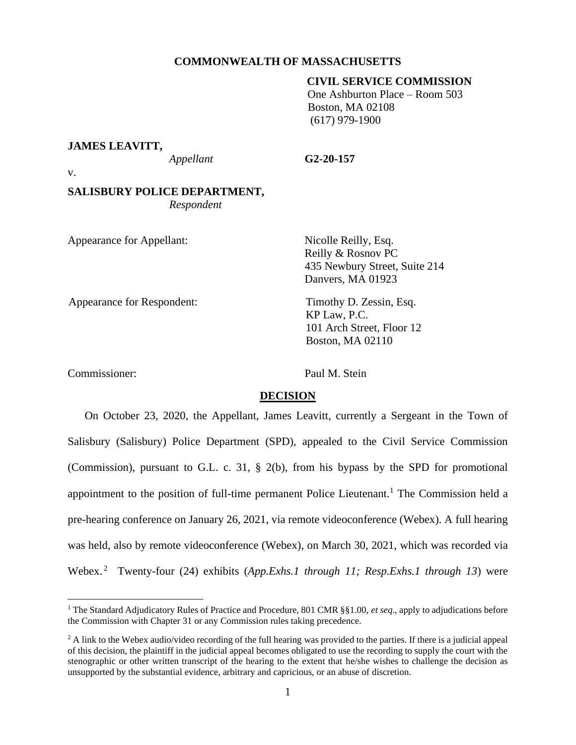# **COMMONWEALTH OF MASSACHUSETTS**

# **CIVIL SERVICE COMMISSION**

 One Ashburton Place – Room 503 Boston, MA 02108 (617) 979-1900

#### **JAMES LEAVITT,**

*Appellant* **G2-20-157**

v.

# **SALISBURY POLICE DEPARTMENT,** *Respondent*

| Appearance for Appellant:  | Nicolle Reilly, Esq.<br>Reilly & Rosnov PC<br>435 Newbury Street, Suite 214<br>Danvers, MA 01923 |
|----------------------------|--------------------------------------------------------------------------------------------------|
| Appearance for Respondent: | Timothy D. Zessin, Esq.<br>KP Law, P.C.<br>101 Arch Street, Floor 12<br><b>Boston, MA 02110</b>  |
| Commissioner:              | Paul M. Stein                                                                                    |

**DECISION** 

On October 23, 2020, the Appellant, James Leavitt, currently a Sergeant in the Town of Salisbury (Salisbury) Police Department (SPD), appealed to the Civil Service Commission (Commission), pursuant to G.L. c. 31, § 2(b), from his bypass by the SPD for promotional appointment to the position of full-time permanent Police Lieutenant.<sup>1</sup> The Commission held a pre-hearing conference on January 26, 2021, via remote videoconference (Webex). A full hearing was held, also by remote videoconference (Webex), on March 30, 2021, which was recorded via Webex. <sup>2</sup> Twenty-four (24) exhibits (*App.Exhs.1 through 11; Resp.Exhs.1 through 13*) were

<sup>&</sup>lt;sup>1</sup> The Standard Adjudicatory Rules of Practice and Procedure, 801 CMR §§1.00, *et seq.*, apply to adjudications before the Commission with Chapter 31 or any Commission rules taking precedence.

 $2$  A link to the Webex audio/video recording of the full hearing was provided to the parties. If there is a judicial appeal of this decision, the plaintiff in the judicial appeal becomes obligated to use the recording to supply the court with the stenographic or other written transcript of the hearing to the extent that he/she wishes to challenge the decision as unsupported by the substantial evidence, arbitrary and capricious, or an abuse of discretion.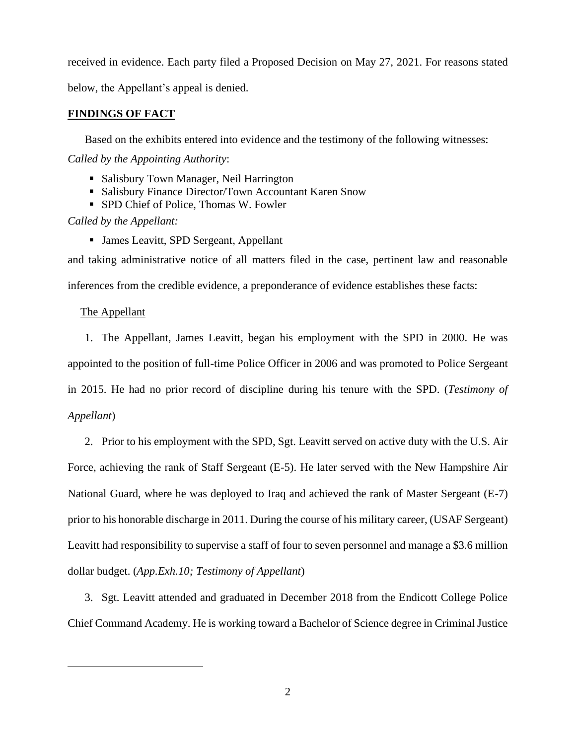received in evidence. Each party filed a Proposed Decision on May 27, 2021. For reasons stated below, the Appellant's appeal is denied.

# **FINDINGS OF FACT**

Based on the exhibits entered into evidence and the testimony of the following witnesses: *Called by the Appointing Authority*:

- Salisbury Town Manager, Neil Harrington
- Salisbury Finance Director/Town Accountant Karen Snow
- SPD Chief of Police, Thomas W. Fowler

*Called by the Appellant:*

■ James Leavitt, SPD Sergeant, Appellant

and taking administrative notice of all matters filed in the case, pertinent law and reasonable inferences from the credible evidence, a preponderance of evidence establishes these facts:

# The Appellant

1. The Appellant, James Leavitt, began his employment with the SPD in 2000. He was appointed to the position of full-time Police Officer in 2006 and was promoted to Police Sergeant in 2015. He had no prior record of discipline during his tenure with the SPD. (*Testimony of Appellant*)

2. Prior to his employment with the SPD, Sgt. Leavitt served on active duty with the U.S. Air Force, achieving the rank of Staff Sergeant (E-5). He later served with the New Hampshire Air National Guard, where he was deployed to Iraq and achieved the rank of Master Sergeant (E-7) prior to his honorable discharge in 2011. During the course of his military career, (USAF Sergeant) Leavitt had responsibility to supervise a staff of four to seven personnel and manage a \$3.6 million dollar budget. (*App.Exh.10; Testimony of Appellant*)

3. Sgt. Leavitt attended and graduated in December 2018 from the Endicott College Police Chief Command Academy. He is working toward a Bachelor of Science degree in Criminal Justice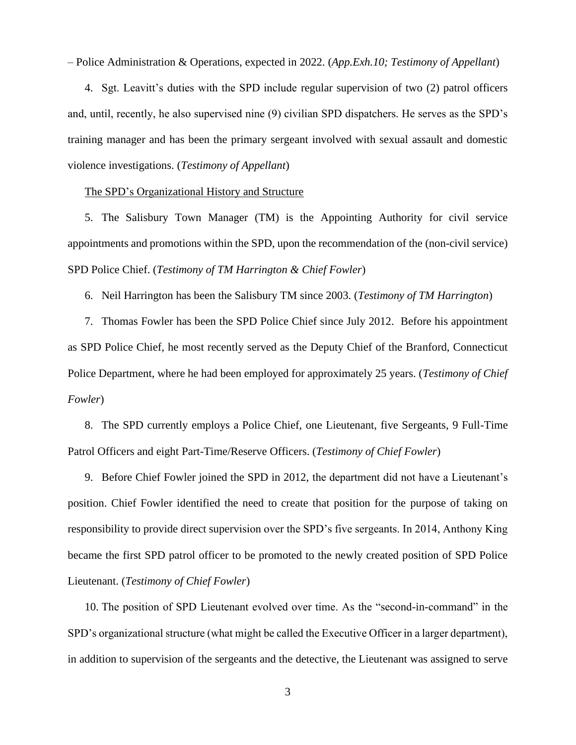– Police Administration & Operations, expected in 2022. (*App.Exh.10; Testimony of Appellant*)

4. Sgt. Leavitt's duties with the SPD include regular supervision of two (2) patrol officers and, until, recently, he also supervised nine (9) civilian SPD dispatchers. He serves as the SPD's training manager and has been the primary sergeant involved with sexual assault and domestic violence investigations. (*Testimony of Appellant*)

## The SPD's Organizational History and Structure

5. The Salisbury Town Manager (TM) is the Appointing Authority for civil service appointments and promotions within the SPD, upon the recommendation of the (non-civil service) SPD Police Chief. (*Testimony of TM Harrington & Chief Fowler*)

6. Neil Harrington has been the Salisbury TM since 2003. (*Testimony of TM Harrington*)

7. Thomas Fowler has been the SPD Police Chief since July 2012. Before his appointment as SPD Police Chief, he most recently served as the Deputy Chief of the Branford, Connecticut Police Department, where he had been employed for approximately 25 years. (*Testimony of Chief Fowler*)

8. The SPD currently employs a Police Chief, one Lieutenant, five Sergeants, 9 Full-Time Patrol Officers and eight Part-Time/Reserve Officers. (*Testimony of Chief Fowler*)

9. Before Chief Fowler joined the SPD in 2012, the department did not have a Lieutenant's position. Chief Fowler identified the need to create that position for the purpose of taking on responsibility to provide direct supervision over the SPD's five sergeants. In 2014, Anthony King became the first SPD patrol officer to be promoted to the newly created position of SPD Police Lieutenant. (*Testimony of Chief Fowler*)

10. The position of SPD Lieutenant evolved over time. As the "second-in-command" in the SPD's organizational structure (what might be called the Executive Officer in a larger department), in addition to supervision of the sergeants and the detective, the Lieutenant was assigned to serve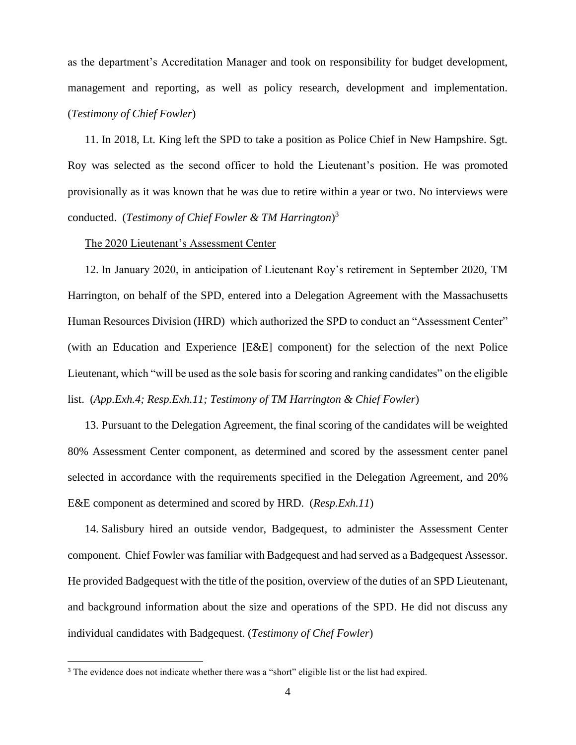as the department's Accreditation Manager and took on responsibility for budget development, management and reporting, as well as policy research, development and implementation. (*Testimony of Chief Fowler*)

11. In 2018, Lt. King left the SPD to take a position as Police Chief in New Hampshire. Sgt. Roy was selected as the second officer to hold the Lieutenant's position. He was promoted provisionally as it was known that he was due to retire within a year or two. No interviews were conducted. (*Testimony of Chief Fowler & TM Harrington*) 3

# The 2020 Lieutenant's Assessment Center

12. In January 2020, in anticipation of Lieutenant Roy's retirement in September 2020, TM Harrington, on behalf of the SPD, entered into a Delegation Agreement with the Massachusetts Human Resources Division (HRD) which authorized the SPD to conduct an "Assessment Center" (with an Education and Experience [E&E] component) for the selection of the next Police Lieutenant, which "will be used as the sole basis for scoring and ranking candidates" on the eligible list. (*App.Exh.4; Resp.Exh.11; Testimony of TM Harrington & Chief Fowler*)

13. Pursuant to the Delegation Agreement, the final scoring of the candidates will be weighted 80% Assessment Center component, as determined and scored by the assessment center panel selected in accordance with the requirements specified in the Delegation Agreement, and 20% E&E component as determined and scored by HRD. (*Resp.Exh.11*)

14. Salisbury hired an outside vendor, Badgequest, to administer the Assessment Center component. Chief Fowler was familiar with Badgequest and had served as a Badgequest Assessor. He provided Badgequest with the title of the position, overview of the duties of an SPD Lieutenant, and background information about the size and operations of the SPD. He did not discuss any individual candidates with Badgequest. (*Testimony of Chef Fowler*)

<sup>&</sup>lt;sup>3</sup> The evidence does not indicate whether there was a "short" eligible list or the list had expired.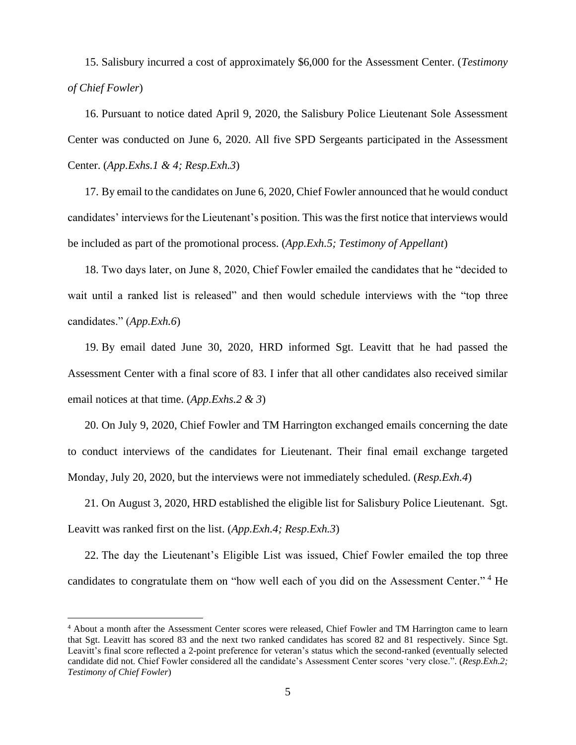15. Salisbury incurred a cost of approximately \$6,000 for the Assessment Center. (*Testimony of Chief Fowler*)

16. Pursuant to notice dated April 9, 2020, the Salisbury Police Lieutenant Sole Assessment Center was conducted on June 6, 2020. All five SPD Sergeants participated in the Assessment Center. (*App.Exhs.1 & 4; Resp.Exh.3*)

17. By email to the candidates on June 6, 2020, Chief Fowler announced that he would conduct candidates' interviews for the Lieutenant's position. This was the first notice that interviews would be included as part of the promotional process. (*App.Exh.5; Testimony of Appellant*)

18. Two days later, on June 8, 2020, Chief Fowler emailed the candidates that he "decided to wait until a ranked list is released" and then would schedule interviews with the "top three candidates." (*App.Exh.6*)

19. By email dated June 30, 2020, HRD informed Sgt. Leavitt that he had passed the Assessment Center with a final score of 83. I infer that all other candidates also received similar email notices at that time. (*App.Exhs.2 & 3*)

20. On July 9, 2020, Chief Fowler and TM Harrington exchanged emails concerning the date to conduct interviews of the candidates for Lieutenant. Their final email exchange targeted Monday, July 20, 2020, but the interviews were not immediately scheduled. (*Resp.Exh.4*)

21. On August 3, 2020, HRD established the eligible list for Salisbury Police Lieutenant. Sgt. Leavitt was ranked first on the list. (*App.Exh.4; Resp.Exh.3*)

22. The day the Lieutenant's Eligible List was issued, Chief Fowler emailed the top three candidates to congratulate them on "how well each of you did on the Assessment Center."<sup>4</sup> He

<sup>4</sup> About a month after the Assessment Center scores were released, Chief Fowler and TM Harrington came to learn that Sgt. Leavitt has scored 83 and the next two ranked candidates has scored 82 and 81 respectively. Since Sgt. Leavitt's final score reflected a 2-point preference for veteran's status which the second-ranked (eventually selected candidate did not. Chief Fowler considered all the candidate's Assessment Center scores 'very close.". (*Resp.Exh.2; Testimony of Chief Fowler*)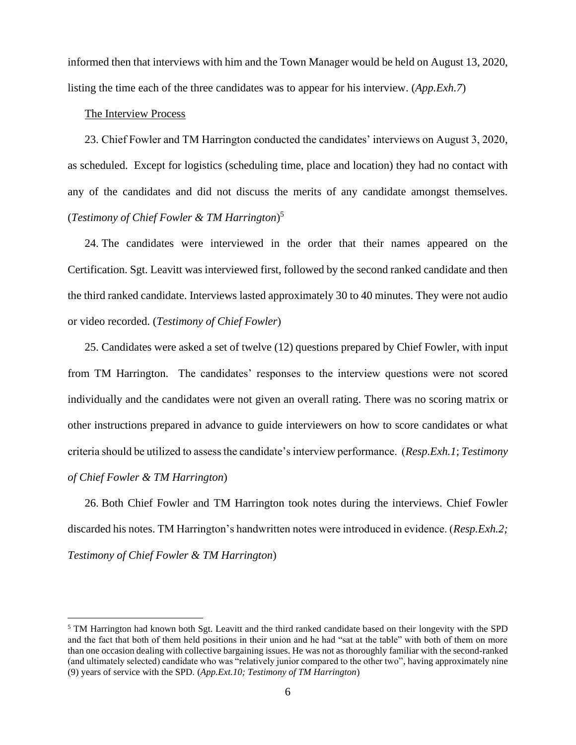informed then that interviews with him and the Town Manager would be held on August 13, 2020, listing the time each of the three candidates was to appear for his interview. (*App.Exh.7*)

## The Interview Process

23. Chief Fowler and TM Harrington conducted the candidates' interviews on August 3, 2020, as scheduled. Except for logistics (scheduling time, place and location) they had no contact with any of the candidates and did not discuss the merits of any candidate amongst themselves. (*Testimony of Chief Fowler & TM Harrington*) 5

24. The candidates were interviewed in the order that their names appeared on the Certification. Sgt. Leavitt was interviewed first, followed by the second ranked candidate and then the third ranked candidate. Interviews lasted approximately 30 to 40 minutes. They were not audio or video recorded. (*Testimony of Chief Fowler*)

25. Candidates were asked a set of twelve (12) questions prepared by Chief Fowler, with input from TM Harrington. The candidates' responses to the interview questions were not scored individually and the candidates were not given an overall rating. There was no scoring matrix or other instructions prepared in advance to guide interviewers on how to score candidates or what criteria should be utilized to assess the candidate's interview performance. (*Resp.Exh.1*; *Testimony of Chief Fowler & TM Harrington*)

26. Both Chief Fowler and TM Harrington took notes during the interviews. Chief Fowler discarded his notes. TM Harrington's handwritten notes were introduced in evidence. (*Resp.Exh.2; Testimony of Chief Fowler & TM Harrington*)

<sup>5</sup> TM Harrington had known both Sgt. Leavitt and the third ranked candidate based on their longevity with the SPD and the fact that both of them held positions in their union and he had "sat at the table" with both of them on more than one occasion dealing with collective bargaining issues. He was not as thoroughly familiar with the second-ranked (and ultimately selected) candidate who was "relatively junior compared to the other two", having approximately nine (9) years of service with the SPD. (*App.Ext.10; Testimony of TM Harrington*)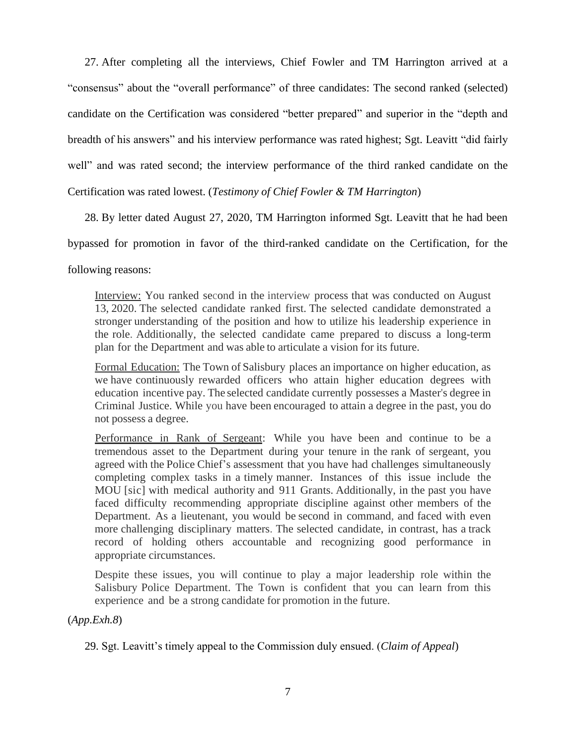27. After completing all the interviews, Chief Fowler and TM Harrington arrived at a "consensus" about the "overall performance" of three candidates: The second ranked (selected) candidate on the Certification was considered "better prepared" and superior in the "depth and breadth of his answers" and his interview performance was rated highest; Sgt. Leavitt "did fairly well" and was rated second; the interview performance of the third ranked candidate on the Certification was rated lowest. (*Testimony of Chief Fowler & TM Harrington*)

28. By letter dated August 27, 2020, TM Harrington informed Sgt. Leavitt that he had been

bypassed for promotion in favor of the third-ranked candidate on the Certification, for the

following reasons:

Interview: You ranked second in the interview process that was conducted on August 13, 2020. The selected candidate ranked first. The selected candidate demonstrated a stronger understanding of the position and how to utilize his leadership experience in the role. Additionally, the selected candidate came prepared to discuss a long-term plan for the Department and was able to articulate a vision for its future.

Formal Education: The Town of Salisbury places an importance on higher education, as we have continuously rewarded officers who attain higher education degrees with education incentive pay. The selected candidate currently possesses a Master's degree in Criminal Justice. While you have been encouraged to attain a degree in the past, you do not possess a degree.

Performance in Rank of Sergeant: While you have been and continue to be a tremendous asset to the Department during your tenure in the rank of sergeant, you agreed with the Police Chief's assessment that you have had challenges simultaneously completing complex tasks in a timely manner. Instances of this issue include the MOU [sic] with medical authority and 911 Grants. Additionally, in the past you have faced difficulty recommending appropriate discipline against other members of the Department. As a lieutenant, you would be second in command, and faced with even more challenging disciplinary matters. The selected candidate, in contrast, has a track record of holding others accountable and recognizing good performance in appropriate circumstances.

Despite these issues, you will continue to play a major leadership role within the Salisbury Police Department. The Town is confident that you can learn from this experience and be a strong candidate for promotion in the future.

(*App.Exh.8*)

29. Sgt. Leavitt's timely appeal to the Commission duly ensued. (*Claim of Appeal*)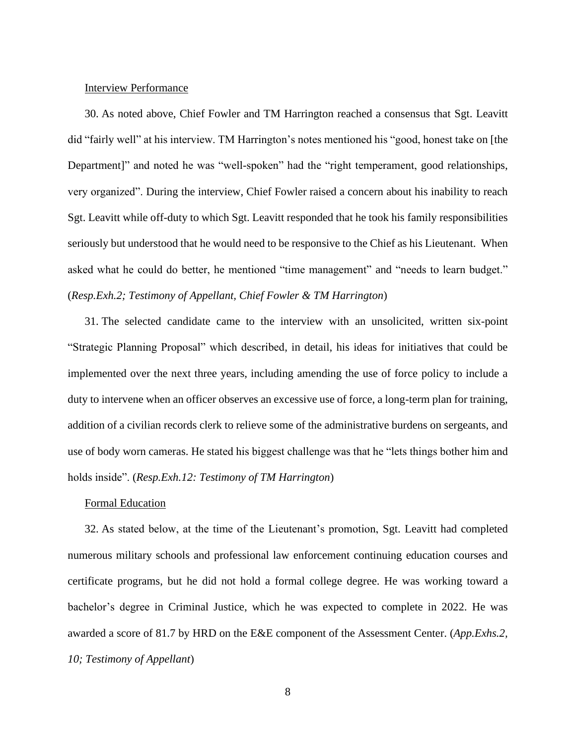# Interview Performance

30. As noted above, Chief Fowler and TM Harrington reached a consensus that Sgt. Leavitt did "fairly well" at his interview. TM Harrington's notes mentioned his "good, honest take on [the Department]" and noted he was "well-spoken" had the "right temperament, good relationships, very organized". During the interview, Chief Fowler raised a concern about his inability to reach Sgt. Leavitt while off-duty to which Sgt. Leavitt responded that he took his family responsibilities seriously but understood that he would need to be responsive to the Chief as his Lieutenant. When asked what he could do better, he mentioned "time management" and "needs to learn budget." (*Resp.Exh.2; Testimony of Appellant, Chief Fowler & TM Harrington*)

31. The selected candidate came to the interview with an unsolicited, written six-point "Strategic Planning Proposal" which described, in detail, his ideas for initiatives that could be implemented over the next three years, including amending the use of force policy to include a duty to intervene when an officer observes an excessive use of force, a long-term plan for training, addition of a civilian records clerk to relieve some of the administrative burdens on sergeants, and use of body worn cameras. He stated his biggest challenge was that he "lets things bother him and holds inside". (*Resp.Exh.12: Testimony of TM Harrington*)

#### Formal Education

32. As stated below, at the time of the Lieutenant's promotion, Sgt. Leavitt had completed numerous military schools and professional law enforcement continuing education courses and certificate programs, but he did not hold a formal college degree. He was working toward a bachelor's degree in Criminal Justice, which he was expected to complete in 2022. He was awarded a score of 81.7 by HRD on the E&E component of the Assessment Center. (*App.Exhs.2, 10; Testimony of Appellant*)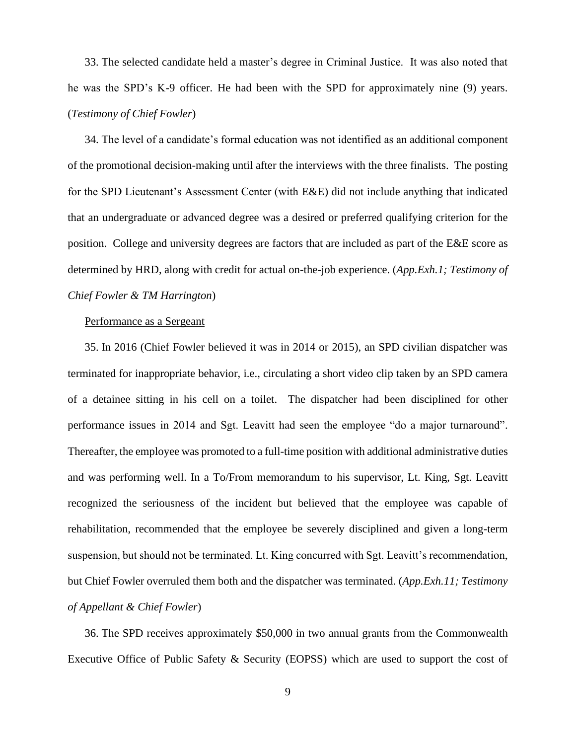33. The selected candidate held a master's degree in Criminal Justice. It was also noted that he was the SPD's K-9 officer. He had been with the SPD for approximately nine (9) years. (*Testimony of Chief Fowler*)

34. The level of a candidate's formal education was not identified as an additional component of the promotional decision-making until after the interviews with the three finalists. The posting for the SPD Lieutenant's Assessment Center (with E&E) did not include anything that indicated that an undergraduate or advanced degree was a desired or preferred qualifying criterion for the position. College and university degrees are factors that are included as part of the E&E score as determined by HRD, along with credit for actual on-the-job experience. (*App.Exh.1; Testimony of Chief Fowler & TM Harrington*)

# Performance as a Sergeant

35. In 2016 (Chief Fowler believed it was in 2014 or 2015), an SPD civilian dispatcher was terminated for inappropriate behavior, i.e., circulating a short video clip taken by an SPD camera of a detainee sitting in his cell on a toilet. The dispatcher had been disciplined for other performance issues in 2014 and Sgt. Leavitt had seen the employee "do a major turnaround". Thereafter, the employee was promoted to a full-time position with additional administrative duties and was performing well. In a To/From memorandum to his supervisor, Lt. King, Sgt. Leavitt recognized the seriousness of the incident but believed that the employee was capable of rehabilitation, recommended that the employee be severely disciplined and given a long-term suspension, but should not be terminated. Lt. King concurred with Sgt. Leavitt's recommendation, but Chief Fowler overruled them both and the dispatcher was terminated. (*App.Exh.11; Testimony of Appellant & Chief Fowler*)

36. The SPD receives approximately \$50,000 in two annual grants from the Commonwealth Executive Office of Public Safety & Security (EOPSS) which are used to support the cost of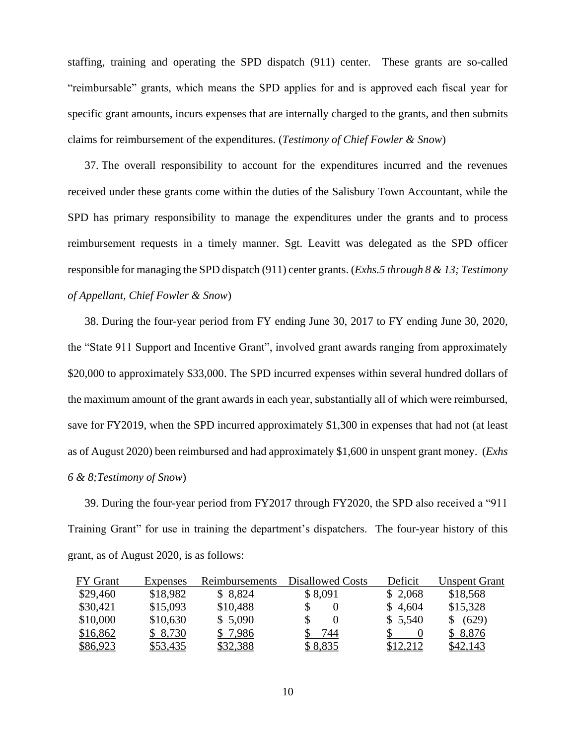staffing, training and operating the SPD dispatch (911) center. These grants are so-called "reimbursable" grants, which means the SPD applies for and is approved each fiscal year for specific grant amounts, incurs expenses that are internally charged to the grants, and then submits claims for reimbursement of the expenditures. (*Testimony of Chief Fowler & Snow*)

37. The overall responsibility to account for the expenditures incurred and the revenues received under these grants come within the duties of the Salisbury Town Accountant, while the SPD has primary responsibility to manage the expenditures under the grants and to process reimbursement requests in a timely manner. Sgt. Leavitt was delegated as the SPD officer responsible for managing the SPD dispatch (911) center grants. (*Exhs.5 through 8 & 13; Testimony of Appellant, Chief Fowler & Snow*)

38. During the four-year period from FY ending June 30, 2017 to FY ending June 30, 2020, the "State 911 Support and Incentive Grant", involved grant awards ranging from approximately \$20,000 to approximately \$33,000. The SPD incurred expenses within several hundred dollars of the maximum amount of the grant awards in each year, substantially all of which were reimbursed, save for FY2019, when the SPD incurred approximately \$1,300 in expenses that had not (at least as of August 2020) been reimbursed and had approximately \$1,600 in unspent grant money. (*Exhs 6 & 8;Testimony of Snow*)

39. During the four-year period from FY2017 through FY2020, the SPD also received a "911 Training Grant" for use in training the department's dispatchers. The four-year history of this grant, as of August 2020, is as follows:

| FY Grant | Expenses | Reimbursements | <b>Disallowed Costs</b> | Deficit  | <b>Unspent Grant</b> |
|----------|----------|----------------|-------------------------|----------|----------------------|
| \$29,460 | \$18,982 | \$8,824        | \$8,091                 | \$2,068  | \$18,568             |
| \$30,421 | \$15,093 | \$10,488       |                         | \$4,604  | \$15,328             |
| \$10,000 | \$10,630 | \$5,090        |                         | \$5,540  | (629)                |
| \$16,862 | \$ 8,730 | \$7,986        | 744                     |          | \$8,876              |
| \$86,923 | \$53,435 | \$32,388       | \$8,835                 | \$12,212 | \$42,143             |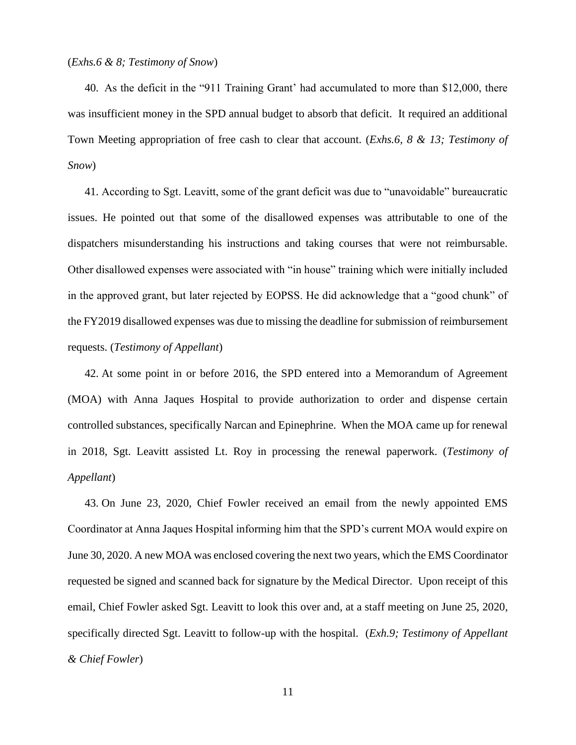# (*Exhs.6 & 8; Testimony of Snow*)

40. As the deficit in the "911 Training Grant' had accumulated to more than \$12,000, there was insufficient money in the SPD annual budget to absorb that deficit. It required an additional Town Meeting appropriation of free cash to clear that account. (*Exhs.6, 8 & 13; Testimony of Snow*)

41. According to Sgt. Leavitt, some of the grant deficit was due to "unavoidable" bureaucratic issues. He pointed out that some of the disallowed expenses was attributable to one of the dispatchers misunderstanding his instructions and taking courses that were not reimbursable. Other disallowed expenses were associated with "in house" training which were initially included in the approved grant, but later rejected by EOPSS. He did acknowledge that a "good chunk" of the FY2019 disallowed expenses was due to missing the deadline for submission of reimbursement requests. (*Testimony of Appellant*)

42. At some point in or before 2016, the SPD entered into a Memorandum of Agreement (MOA) with Anna Jaques Hospital to provide authorization to order and dispense certain controlled substances, specifically Narcan and Epinephrine. When the MOA came up for renewal in 2018, Sgt. Leavitt assisted Lt. Roy in processing the renewal paperwork. (*Testimony of Appellant*)

43. On June 23, 2020, Chief Fowler received an email from the newly appointed EMS Coordinator at Anna Jaques Hospital informing him that the SPD's current MOA would expire on June 30, 2020. A new MOA was enclosed covering the next two years, which the EMS Coordinator requested be signed and scanned back for signature by the Medical Director. Upon receipt of this email, Chief Fowler asked Sgt. Leavitt to look this over and, at a staff meeting on June 25, 2020, specifically directed Sgt. Leavitt to follow-up with the hospital. (*Exh.9; Testimony of Appellant & Chief Fowler*)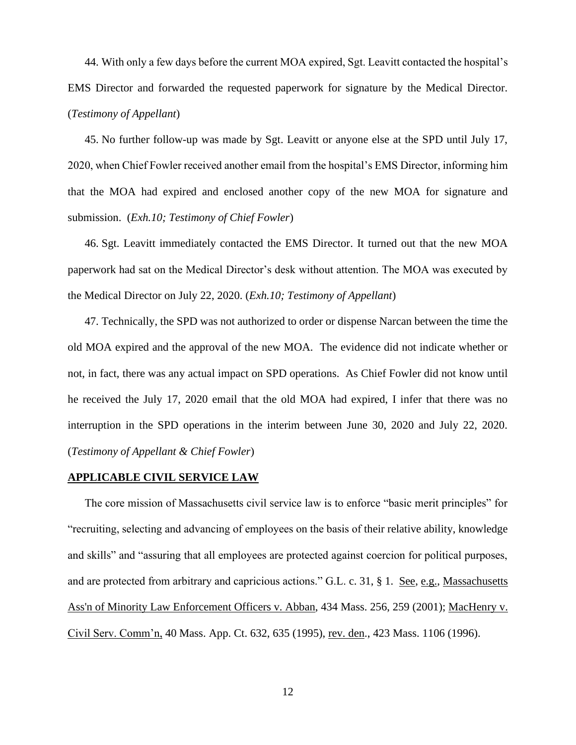44. With only a few days before the current MOA expired, Sgt. Leavitt contacted the hospital's EMS Director and forwarded the requested paperwork for signature by the Medical Director. (*Testimony of Appellant*)

45. No further follow-up was made by Sgt. Leavitt or anyone else at the SPD until July 17, 2020, when Chief Fowler received another email from the hospital's EMS Director, informing him that the MOA had expired and enclosed another copy of the new MOA for signature and submission. (*Exh.10; Testimony of Chief Fowler*)

46. Sgt. Leavitt immediately contacted the EMS Director. It turned out that the new MOA paperwork had sat on the Medical Director's desk without attention. The MOA was executed by the Medical Director on July 22, 2020. (*Exh.10; Testimony of Appellant*)

47. Technically, the SPD was not authorized to order or dispense Narcan between the time the old MOA expired and the approval of the new MOA. The evidence did not indicate whether or not, in fact, there was any actual impact on SPD operations. As Chief Fowler did not know until he received the July 17, 2020 email that the old MOA had expired, I infer that there was no interruption in the SPD operations in the interim between June 30, 2020 and July 22, 2020. (*Testimony of Appellant & Chief Fowler*)

## **APPLICABLE CIVIL SERVICE LAW**

The core mission of Massachusetts civil service law is to enforce "basic merit principles" for "recruiting, selecting and advancing of employees on the basis of their relative ability, knowledge and skills" and "assuring that all employees are protected against coercion for political purposes, and are protected from arbitrary and capricious actions." G.L. c. 31, § 1. See, e.g., [Massachusetts](http://web2.westlaw.com/find/default.wl?mt=Massachusetts&db=578&rs=WLW15.04&tc=-1&rp=%2ffind%2fdefault.wl&findtype=Y&ordoc=2029136022&serialnum=2001441097&vr=2.0&fn=_top&sv=Split&tf=-1&pbc=70F732C1&utid=1)  [Ass'n of Minority Law Enforcement Officers v.](http://web2.westlaw.com/find/default.wl?mt=Massachusetts&db=578&rs=WLW15.04&tc=-1&rp=%2ffind%2fdefault.wl&findtype=Y&ordoc=2029136022&serialnum=2001441097&vr=2.0&fn=_top&sv=Split&tf=-1&pbc=70F732C1&utid=1) Abban, 434 Mass. 256, 259 (2001); MacHenry v. Civil Serv. Comm'n, 40 Mass. App. Ct. 632, 635 (1995), rev. den., 423 Mass. 1106 (1996).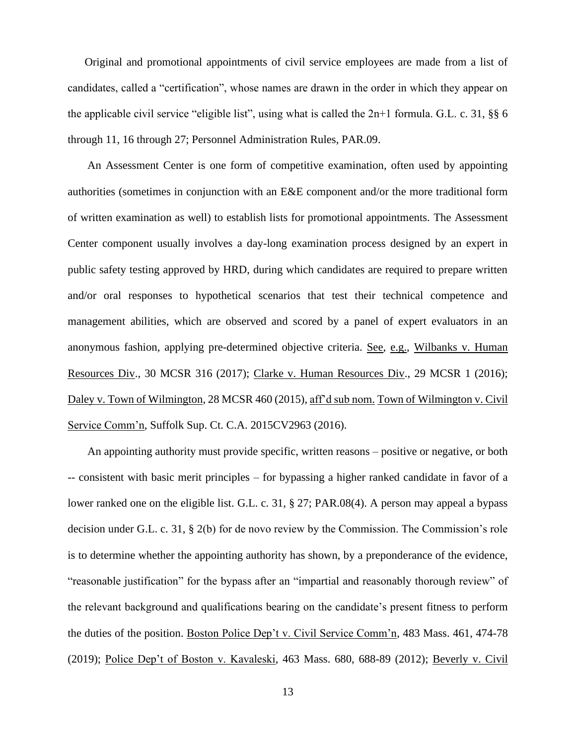Original and promotional appointments of civil service employees are made from a list of candidates, called a "certification", whose names are drawn in the order in which they appear on the applicable civil service "eligible list", using what is called the 2n+1 formula. G.L. c. 31, §§ 6 through 11, 16 through 27; Personnel Administration Rules, PAR.09.

An Assessment Center is one form of competitive examination, often used by appointing authorities (sometimes in conjunction with an E&E component and/or the more traditional form of written examination as well) to establish lists for promotional appointments. The Assessment Center component usually involves a day-long examination process designed by an expert in public safety testing approved by HRD, during which candidates are required to prepare written and/or oral responses to hypothetical scenarios that test their technical competence and management abilities, which are observed and scored by a panel of expert evaluators in an anonymous fashion, applying pre-determined objective criteria. See, e.g., Wilbanks v. Human Resources Div., 30 MCSR 316 (2017); Clarke v. Human Resources Div., 29 MCSR 1 (2016); Daley v. Town of Wilmington, 28 MCSR 460 (2015), aff'd sub nom. Town of Wilmington v. Civil Service Comm'n, Suffolk Sup. Ct. C.A. 2015CV2963 (2016).

An appointing authority must provide specific, written reasons – positive or negative, or both -- consistent with basic merit principles – for bypassing a higher ranked candidate in favor of a lower ranked one on the eligible list. G.L. c. 31, § 27; PAR.08(4). A person may appeal a bypass decision under G.L. c. 31, § 2(b) for de novo review by the Commission. The Commission's role is to determine whether the appointing authority has shown, by a preponderance of the evidence, "reasonable justification" for the bypass after an "impartial and reasonably thorough review" of the relevant background and qualifications bearing on the candidate's present fitness to perform the duties of the position. Boston Police Dep't v. Civil Service Comm'n, 483 Mass. 461, 474-78 (2019); Police Dep't of Boston v. Kavaleski, 463 Mass. 680, 688-89 (2012); [Beverly v. Civil](http://web2.westlaw.com/find/default.wl?mt=Massachusetts&db=578&rs=WLW15.04&tc=-1&rp=%2ffind%2fdefault.wl&findtype=Y&ordoc=2029136022&serialnum=2023501172&vr=2.0&fn=_top&sv=Split&tf=-1&pbc=70F732C1&utid=1)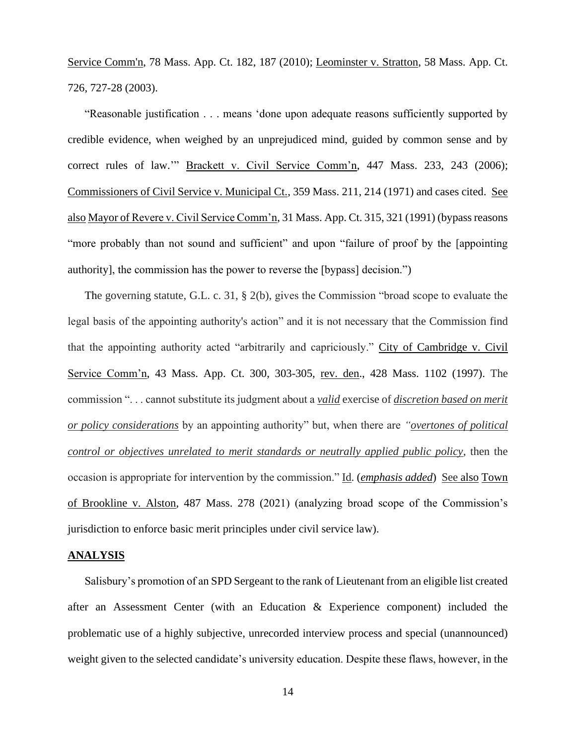[Service Comm'n, 78 Mass.](http://web2.westlaw.com/find/default.wl?mt=Massachusetts&db=578&rs=WLW15.04&tc=-1&rp=%2ffind%2fdefault.wl&findtype=Y&ordoc=2029136022&serialnum=2023501172&vr=2.0&fn=_top&sv=Split&tf=-1&pbc=70F732C1&utid=1) App. Ct. 182, 187 (2010); Leominster v. Stratton, 58 Mass. App. Ct. 726, 727-28 (2003).

"Reasonable justification . . . means 'done upon adequate reasons sufficiently supported by credible evidence, when weighed by an unprejudiced mind, guided by common sense and by correct rules of law.'" Brackett v. Civil Service Comm'n, 447 Mass. 233, 243 (2006); Commissioners of Civil Service v. Municipal Ct., 359 Mass. 211, 214 (1971) and cases cited. See also Mayor of Revere v. Civil Service Comm'n, 31 Mass. App. Ct. 315, 321 (1991) (bypass reasons "more probably than not sound and sufficient" and upon "failure of proof by the [appointing authority], the commission has the power to reverse the [bypass] decision.")

The governing statute, G.L. c. 31, § 2(b), gives the Commission "broad scope to evaluate the legal basis of the appointing authority's action" and it is not necessary that the Commission find that the appointing authority acted "arbitrarily and capriciously." City of Cambridge v. Civil Service Comm'n, 43 Mass. App. Ct. 300, 303-305, rev. den., 428 Mass. 1102 (1997). The commission ". . . cannot substitute its judgment about a *valid* exercise of *discretion based on merit or policy considerations* by an appointing authority" but, when there are *"overtones of political control or objectives unrelated to merit standards or neutrally applied public policy*, then the occasion is appropriate for intervention by the commission." Id. (*emphasis added*) See also Town of Brookline v. Alston, 487 Mass. 278 (2021) (analyzing broad scope of the Commission's jurisdiction to enforce basic merit principles under civil service law).

# **ANALYSIS**

Salisbury's promotion of an SPD Sergeant to the rank of Lieutenant from an eligible list created after an Assessment Center (with an Education & Experience component) included the problematic use of a highly subjective, unrecorded interview process and special (unannounced) weight given to the selected candidate's university education. Despite these flaws, however, in the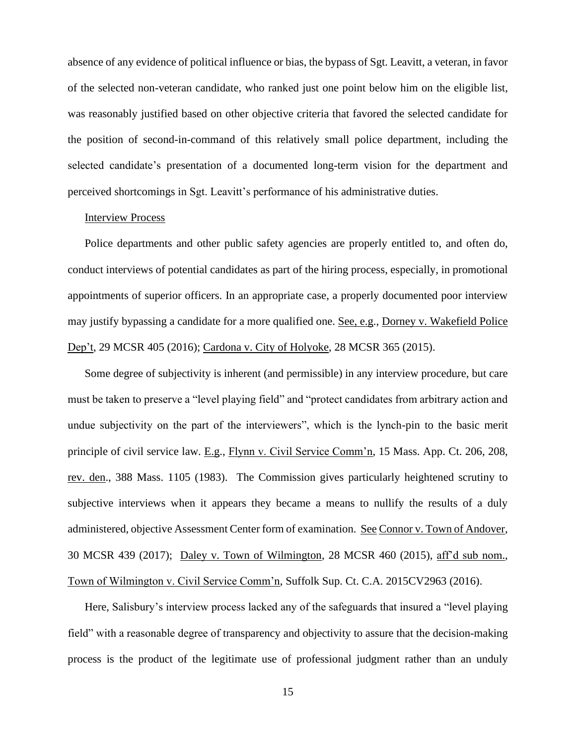absence of any evidence of political influence or bias, the bypass of Sgt. Leavitt, a veteran, in favor of the selected non-veteran candidate, who ranked just one point below him on the eligible list, was reasonably justified based on other objective criteria that favored the selected candidate for the position of second-in-command of this relatively small police department, including the selected candidate's presentation of a documented long-term vision for the department and perceived shortcomings in Sgt. Leavitt's performance of his administrative duties.

# Interview Process

Police departments and other public safety agencies are properly entitled to, and often do, conduct interviews of potential candidates as part of the hiring process, especially, in promotional appointments of superior officers. In an appropriate case, a properly documented poor interview may justify bypassing a candidate for a more qualified one. See, e.g., Dorney v. Wakefield Police Dep't, 29 MCSR 405 (2016); Cardona v. City of Holyoke, 28 MCSR 365 (2015).

Some degree of subjectivity is inherent (and permissible) in any interview procedure, but care must be taken to preserve a "level playing field" and "protect candidates from arbitrary action and undue subjectivity on the part of the interviewers", which is the lynch-pin to the basic merit principle of civil service law. E.g., Flynn v. Civil Service Comm'n, 15 Mass. App. Ct. 206, 208, rev. den., 388 Mass. 1105 (1983). The Commission gives particularly heightened scrutiny to subjective interviews when it appears they became a means to nullify the results of a duly administered, objective Assessment Center form of examination. See Connor v. Town of Andover, 30 MCSR 439 (2017); Daley v. Town of Wilmington, 28 MCSR 460 (2015), aff'd sub nom., Town of Wilmington v. Civil Service Comm'n, Suffolk Sup. Ct. C.A. 2015CV2963 (2016).

Here, Salisbury's interview process lacked any of the safeguards that insured a "level playing field" with a reasonable degree of transparency and objectivity to assure that the decision-making process is the product of the legitimate use of professional judgment rather than an unduly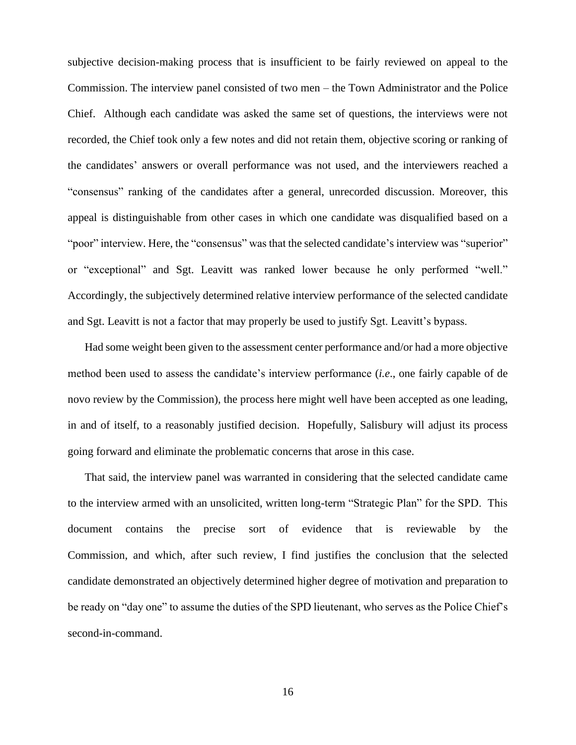subjective decision-making process that is insufficient to be fairly reviewed on appeal to the Commission. The interview panel consisted of two men – the Town Administrator and the Police Chief. Although each candidate was asked the same set of questions, the interviews were not recorded, the Chief took only a few notes and did not retain them, objective scoring or ranking of the candidates' answers or overall performance was not used, and the interviewers reached a "consensus" ranking of the candidates after a general, unrecorded discussion. Moreover, this appeal is distinguishable from other cases in which one candidate was disqualified based on a "poor" interview. Here, the "consensus" was that the selected candidate's interview was "superior" or "exceptional" and Sgt. Leavitt was ranked lower because he only performed "well." Accordingly, the subjectively determined relative interview performance of the selected candidate and Sgt. Leavitt is not a factor that may properly be used to justify Sgt. Leavitt's bypass.

Had some weight been given to the assessment center performance and/or had a more objective method been used to assess the candidate's interview performance (*i.e*., one fairly capable of de novo review by the Commission), the process here might well have been accepted as one leading, in and of itself, to a reasonably justified decision. Hopefully, Salisbury will adjust its process going forward and eliminate the problematic concerns that arose in this case.

That said, the interview panel was warranted in considering that the selected candidate came to the interview armed with an unsolicited, written long-term "Strategic Plan" for the SPD. This document contains the precise sort of evidence that is reviewable by the Commission, and which, after such review, I find justifies the conclusion that the selected candidate demonstrated an objectively determined higher degree of motivation and preparation to be ready on "day one" to assume the duties of the SPD lieutenant, who serves as the Police Chief's second-in-command.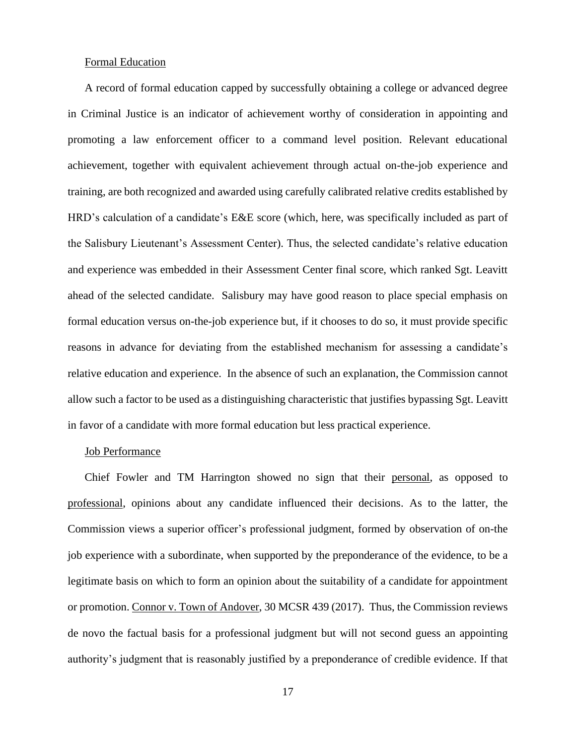## Formal Education

A record of formal education capped by successfully obtaining a college or advanced degree in Criminal Justice is an indicator of achievement worthy of consideration in appointing and promoting a law enforcement officer to a command level position. Relevant educational achievement, together with equivalent achievement through actual on-the-job experience and training, are both recognized and awarded using carefully calibrated relative credits established by HRD's calculation of a candidate's E&E score (which, here, was specifically included as part of the Salisbury Lieutenant's Assessment Center). Thus, the selected candidate's relative education and experience was embedded in their Assessment Center final score, which ranked Sgt. Leavitt ahead of the selected candidate. Salisbury may have good reason to place special emphasis on formal education versus on-the-job experience but, if it chooses to do so, it must provide specific reasons in advance for deviating from the established mechanism for assessing a candidate's relative education and experience. In the absence of such an explanation, the Commission cannot allow such a factor to be used as a distinguishing characteristic that justifies bypassing Sgt. Leavitt in favor of a candidate with more formal education but less practical experience.

#### Job Performance

Chief Fowler and TM Harrington showed no sign that their personal, as opposed to professional, opinions about any candidate influenced their decisions. As to the latter, the Commission views a superior officer's professional judgment, formed by observation of on-the job experience with a subordinate, when supported by the preponderance of the evidence, to be a legitimate basis on which to form an opinion about the suitability of a candidate for appointment or promotion. Connor v. Town of Andover, 30 MCSR 439 (2017). Thus, the Commission reviews de novo the factual basis for a professional judgment but will not second guess an appointing authority's judgment that is reasonably justified by a preponderance of credible evidence. If that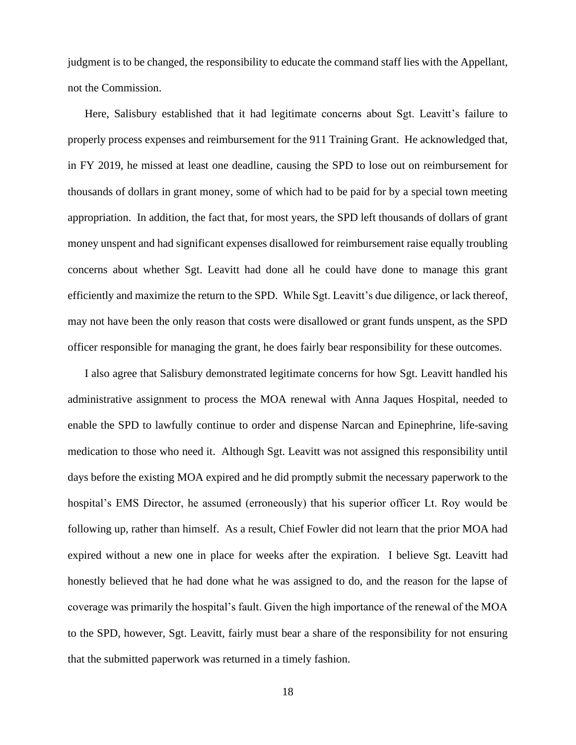judgment is to be changed, the responsibility to educate the command staff lies with the Appellant, not the Commission.

Here, Salisbury established that it had legitimate concerns about Sgt. Leavitt's failure to properly process expenses and reimbursement for the 911 Training Grant. He acknowledged that, in FY 2019, he missed at least one deadline, causing the SPD to lose out on reimbursement for thousands of dollars in grant money, some of which had to be paid for by a special town meeting appropriation. In addition, the fact that, for most years, the SPD left thousands of dollars of grant money unspent and had significant expenses disallowed for reimbursement raise equally troubling concerns about whether Sgt. Leavitt had done all he could have done to manage this grant efficiently and maximize the return to the SPD. While Sgt. Leavitt's due diligence, or lack thereof, may not have been the only reason that costs were disallowed or grant funds unspent, as the SPD officer responsible for managing the grant, he does fairly bear responsibility for these outcomes.

I also agree that Salisbury demonstrated legitimate concerns for how Sgt. Leavitt handled his administrative assignment to process the MOA renewal with Anna Jaques Hospital, needed to enable the SPD to lawfully continue to order and dispense Narcan and Epinephrine, life-saving medication to those who need it. Although Sgt. Leavitt was not assigned this responsibility until days before the existing MOA expired and he did promptly submit the necessary paperwork to the hospital's EMS Director, he assumed (erroneously) that his superior officer Lt. Roy would be following up, rather than himself. As a result, Chief Fowler did not learn that the prior MOA had expired without a new one in place for weeks after the expiration. I believe Sgt. Leavitt had honestly believed that he had done what he was assigned to do, and the reason for the lapse of coverage was primarily the hospital's fault. Given the high importance of the renewal of the MOA to the SPD, however, Sgt. Leavitt, fairly must bear a share of the responsibility for not ensuring that the submitted paperwork was returned in a timely fashion.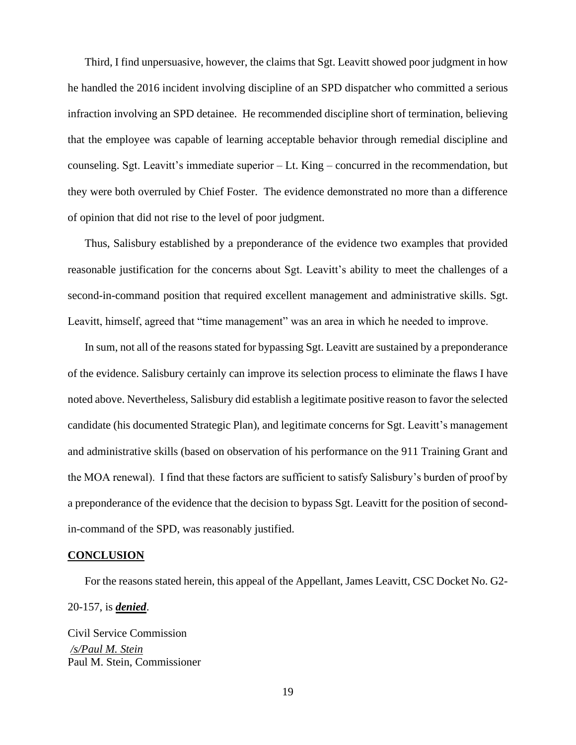Third, I find unpersuasive, however, the claims that Sgt. Leavitt showed poor judgment in how he handled the 2016 incident involving discipline of an SPD dispatcher who committed a serious infraction involving an SPD detainee. He recommended discipline short of termination, believing that the employee was capable of learning acceptable behavior through remedial discipline and counseling. Sgt. Leavitt's immediate superior – Lt. King – concurred in the recommendation, but they were both overruled by Chief Foster. The evidence demonstrated no more than a difference of opinion that did not rise to the level of poor judgment.

Thus, Salisbury established by a preponderance of the evidence two examples that provided reasonable justification for the concerns about Sgt. Leavitt's ability to meet the challenges of a second-in-command position that required excellent management and administrative skills. Sgt. Leavitt, himself, agreed that "time management" was an area in which he needed to improve.

In sum, not all of the reasons stated for bypassing Sgt. Leavitt are sustained by a preponderance of the evidence. Salisbury certainly can improve its selection process to eliminate the flaws I have noted above. Nevertheless, Salisbury did establish a legitimate positive reason to favor the selected candidate (his documented Strategic Plan), and legitimate concerns for Sgt. Leavitt's management and administrative skills (based on observation of his performance on the 911 Training Grant and the MOA renewal). I find that these factors are sufficient to satisfy Salisbury's burden of proof by a preponderance of the evidence that the decision to bypass Sgt. Leavitt for the position of secondin-command of the SPD, was reasonably justified.

# **CONCLUSION**

For the reasons stated herein, this appeal of the Appellant, James Leavitt, CSC Docket No. G2- 20-157, is *denied*.

Civil Service Commission */s/Paul M. Stein*  Paul M. Stein, Commissioner